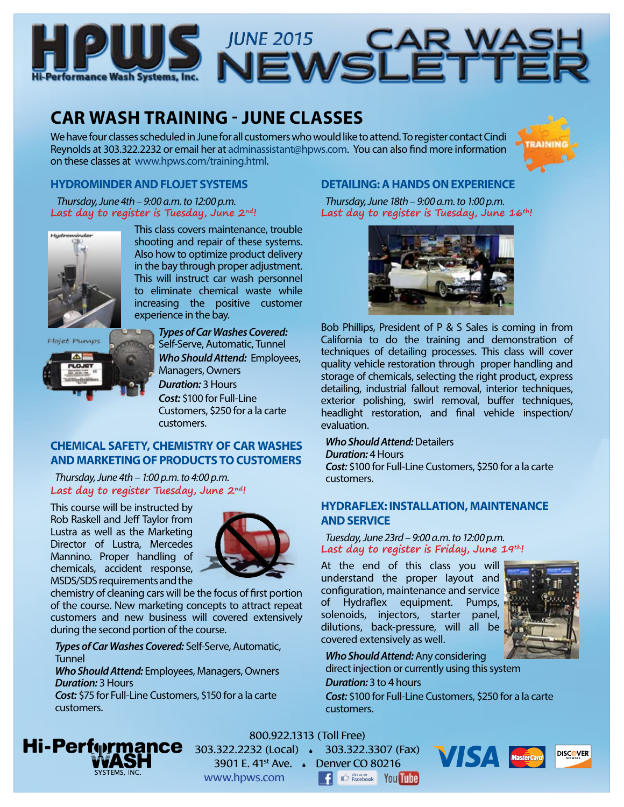



## **CAR WASH TRAINING - JUNE CLASSES**

We have four classes scheduled in June for all customers who would like to attend. To register contact Cindi Reynolds at 303.322.2232 or email her at [adminassistant@hpws.com.](mailto:adminassistant%40hpws.com?subject=) You can also find more information on these classes at [www.hpws.com/training.html.](http://www.hpws.com/training.html)



#### **HYDROMINDER AND FLOJET SYSTEMS**

 *Thursday, June 4th – 9:00 a.m. to 12:00 p.m.* **Last day to register is Tuesday, June 2nd!**



This class covers maintenance, trouble shooting and repair of these systems. Also how to optimize product delivery in the bay through proper adjustment. This will instruct car wash personnel to eliminate chemical waste while increasing the positive customer experience in the bay.



*Types of Car Washes Covered:* Self-Serve, Automatic, Tunnel *Who Should Attend:* Employees, Managers, Owners *Duration:* 3 Hours *Cost:* \$100 for Full-Line Customers, \$250 for a la carte customers.

#### **CHEMICAL SAFETY, CHEMISTRY OF CAR WASHES AND MARKETING OF PRODUCTS TO CUSTOMERS**

*Thursday, June 4th – 1:00 p.m. to 4:00 p.m.* **Last day to register Tuesday, June 2nd!**

This course will be instructed by Rob Raskell and Jeff Taylor from Lustra as well as the Marketing Director of Lustra, Mercedes Mannino. Proper handling of chemicals, accident response, MSDS/SDS requirements and the



chemistry of cleaning cars will be the focus of first portion of the course. New marketing concepts to attract repeat customers and new business will covered extensively during the second portion of the course.

*Types of Car Washes Covered:* Self-Serve, Automatic, Tunnel

*Who Should Attend:* Employees, Managers, Owners *Duration:* 3 Hours

*Cost:* \$75 for Full-Line Customers, \$150 for a la carte customers.

#### **DETAILING: A HANDS ON EXPERIENCE**

*Thursday, June 18th – 9:00 a.m. to 1:00 p.m.* **Last day to register is Tuesday, June 16th!**



Bob Phillips, President of P & S Sales is coming in from California to do the training and demonstration of techniques of detailing processes. This class will cover quality vehicle restoration through proper handling and storage of chemicals, selecting the right product, express detailing, industrial fallout removal, interior techniques, exterior polishing, swirl removal, buffer techniques, headlight restoration, and final vehicle inspection/ evaluation.

#### *Who Should Attend:* Detailers

*Duration:* 4 Hours *Cost:* \$100 for Full-Line Customers, \$250 for a la carte customers.

#### **HYDRAFLEX: INSTALLATION, MAINTENANCE AND SERVICE**

*Tuesday, June 23rd – 9:00 a.m. to 12:00 p.m.* **Last day to register is Friday, June 19th!**

At the end of this class you will understand the proper layout and configuration, maintenance and service of Hydraflex equipment. Pumps, solenoids, injectors, starter panel, dilutions, back-pressure, will all be covered extensively as well.



*Who Should Attend:* Any considering direct injection or currently using this system

#### *Duration:* 3 to 4 hours

*Cost:* \$100 for Full-Line Customers, \$250 for a la carte customers.



#### 800.922.1313 (Toll Free)

303.322.2232 (Local) 303.322.3307 (Fax) 3901 E. 41st Ave. Denver CO 80216 www.hpws.com



**E C** Facebook You Tube